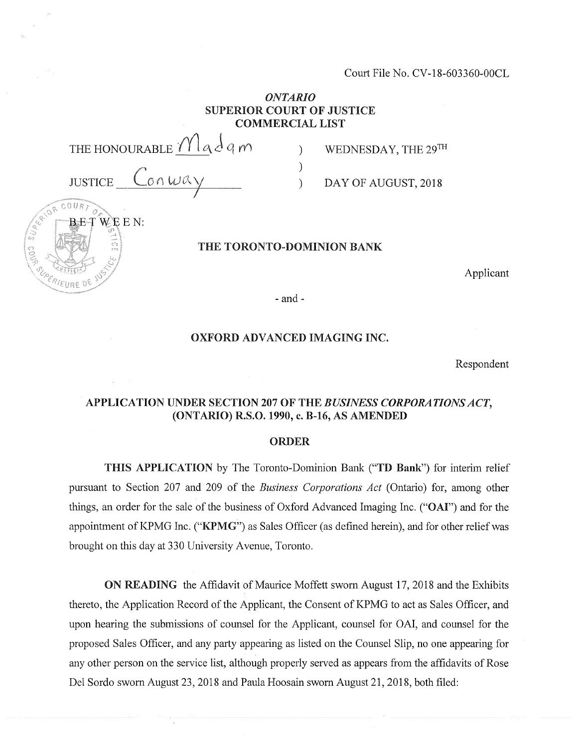Court File No. CV-18-603360-00CL

) WEDNESDAY, THE  $29^{TH}$ 

) DAY OF AUGUST, 2018

# *ONTARIO* **SUPERIOR COURT OF JUSTICE COMMERCIAL LIST**

)

THE HONOURABLE  $\mathop{\mathcal{M}}\nolimits$  a  $d$  q m

 $\int_{\mathcal{A}}$ *7*

 $W \to E N$ :

 $00087$ 

#### **THE TORONTO-DOMINION BANK**

Applicant

- and -

#### **OXFORD ADVANCED IMAGING INC.**

Respondent

# **APPLICATION UNDER SECTION 207 OF THE** *BUSINESS CORPORATIONSACT,* **(ONTARIO) R.S.0.1990, c. B-16, AS AMENDED**

#### **ORDER**

**THIS APPLICATION** by The **T**oronto-Dom**i**nion Bank **("TD Bank")** for interim relief pursuant to Section 207 and 209 of the *Business Corporations Act* (Ontario) for, among other things, an order for the sale of the business of Oxford Advanced Imaging Inc. ("OAI") and for the appointment of KPMG Inc. **("KPMG")** as Sales Officer (as defined herein), and for other reliefwas brought on this day at 330 University Avenue, Toronto.

**ON READING** the Affidavit of Maurice Moffett sworn August 17, 2018 and the Exhibits thereto, the Application Record of the Applicant, the Consent of KPMG to act as Sales Officer, and upon hearing the submissions of counsel for the Applicant, counsel for OAI, and counsel for the proposed Sales Officer, and any party appearing as listed on the Counsel Slip, no one appearing for any other person on the service list, although properly served as appears from the affidavits of Rose Del Sordo sworn August 23, 2018 and Paula Hoosain sworn August 21, 2018, both filed: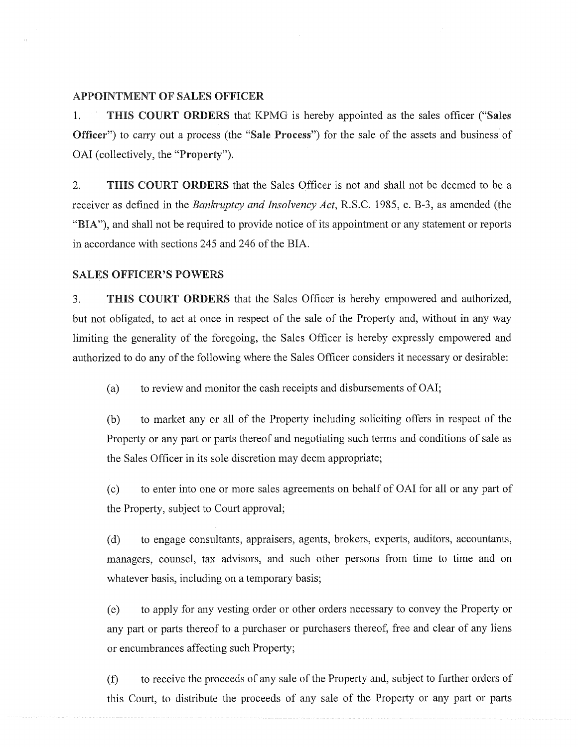### **APPOINTMENT OF SALES OFFICER**

**1. THIS COURT ORDERS** that KPMG is hereby appointed as the sales officer **("Sales Officer")** to carry out a process (the **"Sale Process")** for the sale of the assets and business of OAI (collectively, the **"Property").**

2. **THIS COURT ORDERS** that the Sales Officer is not and shall not be deemed to be a receiver as defined in the *Bankruptcy and Insolvency Act,* R.S.C. 1985, c. B-3, as amended (the "BIA"), and shall not be required to provide notice of its appointment or any statement or reports in accordance with sections 245 and 246 of the BIA.

#### **SALES OFFICER'S POWERS**

3. **THIS COURT ORDERS** that the Sales Officer is hereby empowered and authorized, but not obligated, to act at once in respect of the sale of the Property and, without in any way limiting the generality of the foregoing, the Sales Officer is hereby expressly empowered and authorized to do any of the following where the Sales Officer considers it necessary or desirable:

(a) to review and monitor the cash receipts and disbursements of OAI;

(b) to market any or all of the Property including soliciting offers in respect of the Property or any part or parts thereof and negotiating such terms and conditions of sale as the Sales Officer in its sole discretion may deem appropriate;

(c) to enter into one or more sales agreements on behalf of OAI for all or any part of the Property, subject to Court approval;

(d) to engage consultants, appraisers, agents, brokers, experts, auditors, accountants, managers, counsel, tax advisors, and such other persons from time to time and on whatever basis, including on a temporary basis;

(e) to apply for any vesting order or other orders necessary to convey the Property or any part or parts thereof to a purchaser or purchasers thereof, free and clear of any liens or encumbrances affecting such Property;

(f) to receive the proceeds of any sale of the Property and, subject to further orders of this Court, to distribute the proceeds of any sale of the Property or any part or parts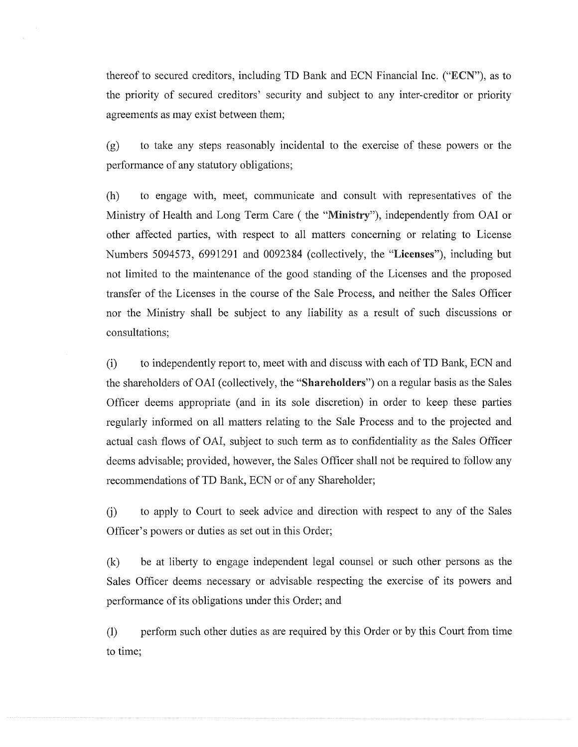thereof to secured creditors, including TD Bank and ECN Financial Inc. **("ECN"),** as to the priority of secured creditors' security and subject to any inter-creditor or priority agreements as may exist between them;

(g) to take any steps reasonably incidental to the exercise of these powers or the performance of any statutory obligations;

(h) to engage with, meet, communicate and consult with representatives of the Ministry of Flealth and Long Term Care (the **"Ministry"),** independently from OAI or other affected parties, with respect to all matters concerning or relating to License Numbers 5094573, 6991291 and 0092384 (collectively, the **"Licenses"),** including but not limited to the maintenance of the good standing of the Licenses and the proposed transfer of the Licenses in the course of the Sale Process, and neither the Sales Officer nor the Ministry shall be subject to any liability as a result of such discussions or consultations;

(i) to independently report to, meet with and discuss with each of TD Bank, ECN and the shareholders of OAI (collectively, the **"Shareholders")** on a regular basis as the Sales Officer deems appropriate (and in its sole discretion) in order to keep these parties regularly informed on all matters relating to the Sale Process and to the projected and actual cash flows of OAI, subject to such term as to confidentiality as the Sales Officer deems advisable; provided, however, the Sales Officer shall not be required to follow any recommendations of TD Bank, ECN or of any Shareholder;

(j) to apply to Court to seek advice and direction with respect to any of the Sales Officer's powers or duties as set out in this Order;

(k) be at liberty to engage independent legal counsel or such other persons as the Sales Officer deems necessary or advisable respecting the exercise of its powers and performance of its obligations under this Order; and

(l) perform such other duties as are required by this Order or by this Court from time to time;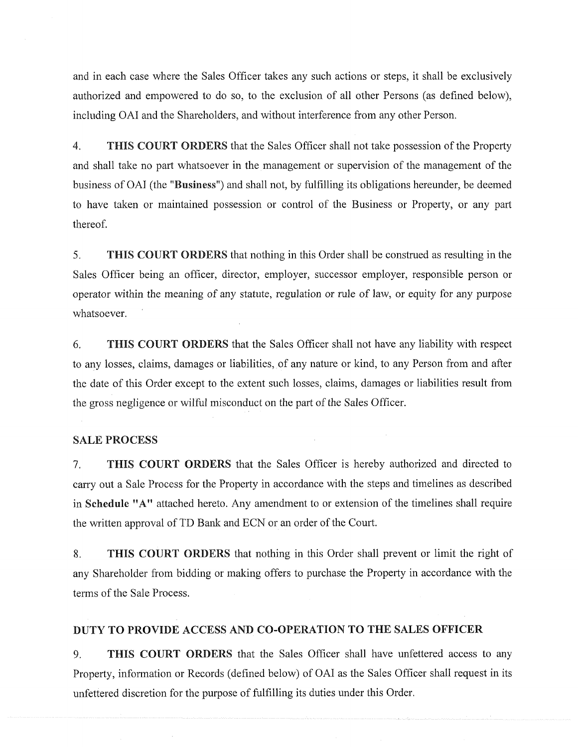and in each case where the Sales Officer takes any such actions or steps, it shall be exclusively authorized and empowered to do so, to the exclusion of all other Persons (as defined below), including OAI and the Shareholders, and without interference from any other Person.

4. **THIS COURT ORDERS** that the Sales Officer shall not take possession ofthe Property and shall take no part whatsoever in the management or supervision of the management of the business of OAI (the **"Business")** and shall not, by fulfilling its obligations hereunder, be deemed to have taken or maintained possession or control of the Business or Property, or any part thereof.

5. **THIS COURT ORDERS** that nothing in this Order shall be construed as resulting in the Sales Officer being an officer, director, employer, successor employer, responsible person or operator within the meaning of any statute, regulation or rule of law, or equity for any purpose whatsoever.

6. **THIS COURT ORDERS** that the Sales Officer shall not have any liability with respect to any losses, claims, damages or liabilities, of any nature or kind, to any Person from and after the date of this Order except to the extent such losses, claims, damages or liabilities result from the gross negligence or wilful misconduct on the part of the Sales Officer.

### **SALE PROCESS**

7. **THIS COURT ORDERS** that the Sales Officer is hereby authorized and directed to carry out a Sale Process for the Property in accordance with the steps and timelines as described in **Schedule "A"** attached hereto. Any amendment to or extension of the timelines shall require the written approval of TD Bank and ECN or an order of the Court.

8. **THIS COURT ORDERS** that nothing in this Order shall prevent or limit the right of any Shareholder from bidding or making offers to purchase the Property in accordance with the terms of the Sale Process.

### **DUTY TO PROVIDE ACCESS AND CO-OPERATION TO THE SALES OFFICER**

9. **THIS COURT ORDERS** that the Sales Officer shall have unfettered access to any Property, information or Records (defined below) of OAI as the Sales Officer shall request in its unfettered discretion for the purpose of fulfilling its duties under this Order.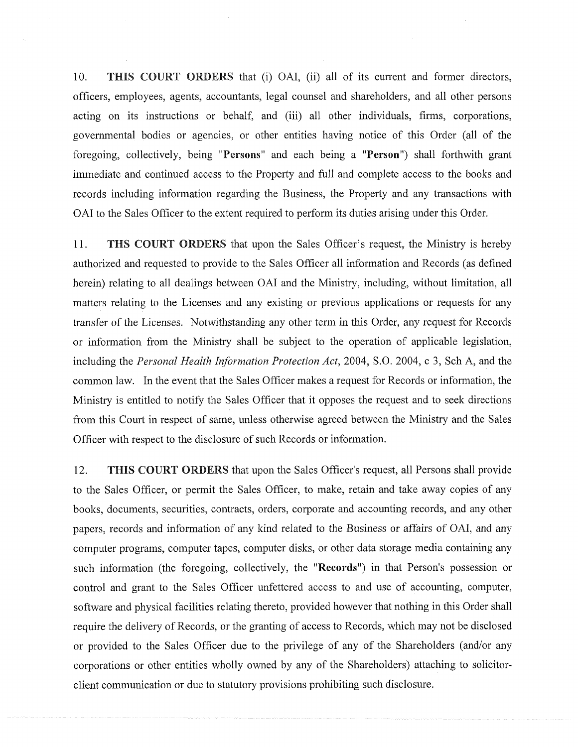10. **THIS COURT ORDERS** that (i) OAI, (ii) all of its current and former directors, officers, employees, agents, accountants, legal counsel and shareholders, and all other persons acting on its instructions or behalf, and (iii) all other individuals, firms, corporations, governmental bodies or agencies, or other entities having notice of this Order (all of the foregoing, collectively, being **"Persons"** and each being a **"Person")** shall forthwith grant immediate and continued access to the Property and full and complete access to the books and records including information regarding the Business, the Property and any transactions with OAI to the Sales Officer to the extent required to perform its duties arising under this Order.

11. **THS COURT ORDERS** that upon the Sales Officer's request, the Ministry is hereby authorized and requested to provide to the Sales Officer all information and Records (as defined herein) relating to all dealings between OAI and the Ministry, including, without limitation, all matters relating to the Licenses and any existing or previous applications or requests for any transfer of the Licenses. Notwithstanding any other term in this Order, any request for Records or information from the Ministry shall be subject to the operation of applicable legislation, including the *Personal Health Information Protection Act,* 2004, S.O. 2004, c 3, Sch A, and the common law. In the event that the Sales Officer makes a request for Records or information, the Ministry is entitled to notify the Sales Officer that it opposes the request and to seek directions from this Court in respect of same, unless otherwise agreed between the Ministry and the Sales Officer with respect to the disclosure of such Records or information.

12. **THIS COURT ORDERS** that upon the Sales Officer's request, all Persons shall provide to the Sales Officer, or permit the Sales Officer, to make, retain and take away copies of any books, documents, securities, contracts, orders, corporate and accounting records, and any other papers, records and information of any kind related to the Business or affairs of OAI, and any computer programs, computer tapes, computer disks, or other data storage media containing any such information (the foregoing, collectively, the **"Records")** in that Person's possession or control and grant to the Sales Officer unfettered access to and use of accounting, computer, software and physical facilities relating thereto, provided however that nothing in this Order shall require the delivery of Records, or the granting of access to Records, which may not be disclosed or provided to the Sales Officer due to the privilege of any of the Shareholders (and/or any corporations or other entities wholly owned by any of the Shareholders) attaching to solicitorclient communication or due to statutory provisions prohibiting such disclosure.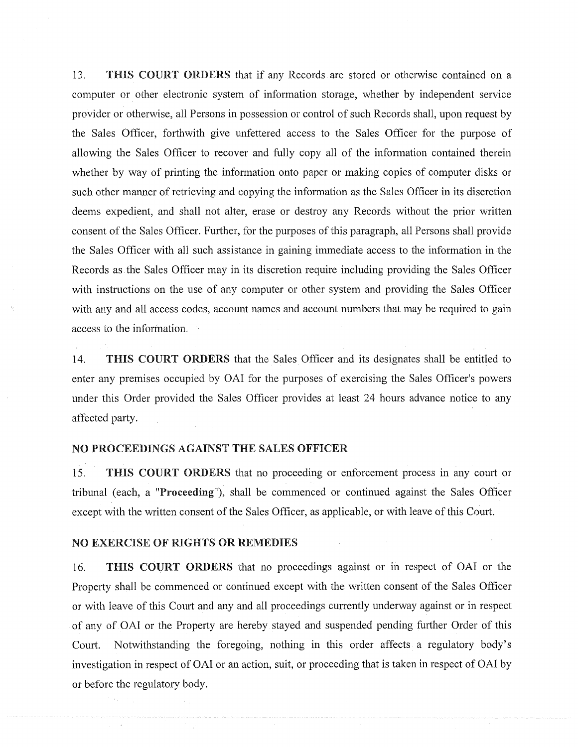13. **THIS COURT ORDERS** that if any Records are stored or otherwise contained on a computer or other electronic system of information storage, whether by independent service provider or otherwise, all Persons in possession or control of such Records shall, upon request by the Sales Officer, forthwith give unfettered access to the Sales Officer for the purpose of allowing the Sales Officer to recover and fully copy all of the information contained therein whether by way of printing the information onto paper or making copies of computer disks or such other manner of retrieving and copying the information as the Sales Officer in its discretion deems expedient, and shall not alter, erase or destroy any Records without the prior written consent of the Sales Officer. Further, for the purposes of this paragraph, all Persons shall provide the Sales Officer with all such assistance in gaining immediate access to the information in the Records as the Sales Officer may in its discretion require including providing the Sales Officer with instructions on the use of any computer or other system and providing the Sales Officer with any and all access codes, account names and account numbers that may be required to gain access to the information.

14. **THIS COURT ORDERS** that the Sales Officer and its designates shall be entitled to enter any premises occupied by OAI for the purposes of exercising the Sales Officer's powers under this Order provided the Sales Officer provides at least 24 hours advance notice to any affected party.

#### **NO PROCEEDINGS AGAINST THE SALES OFFICER**

15. **THIS COURT ORDERS** that no proceeding or enforcement process in any court or tribunal (each, a **"Proceeding"),** shall be commenced or continued against the Sales Officer except with the written consent of the Sales Officer, as applicable, or with leave of this Court.

#### **NO EXERCISE OF RIGHTS OR REMEDIES**

16. **THIS COURT ORDERS** that no proceedings against or in respect of OAI or the Property shall be commenced or continued except with the written consent of the Sales Officer or with leave of this Court and any and all proceedings currently underway against or in respect of any of OAI or the Property are hereby stayed and suspended pending further Order of this Court. Notwithstanding the foregoing, nothing in this order affects a regulatory body's investigation in respect of OAI or an action, suit, or proceeding that is taken in respect of OAI by or before the regulatory body.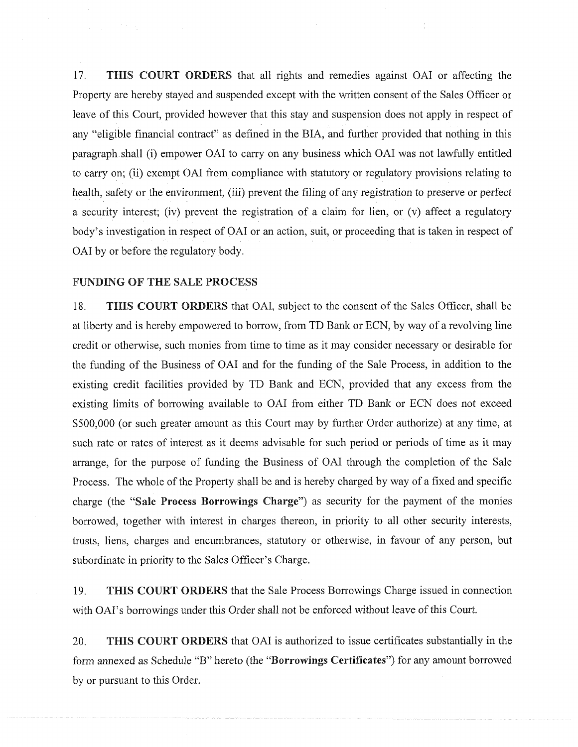17. **THIS COURT ORDERS** that all rights and remedies against OAI or affecting the Property are hereby stayed and suspended except with the written consent of the Sales Officer or leave of this Court, provided however that this stay and suspension does not apply in respect of any "eligible financial contract" as defined in the BIA, and further provided that nothing in this paragraph shall (i) empower OAI to carry on any business which OAI was not lawfully entitled to carry on; (ii) exempt OAI from compliance with statutory or regulatory provisions relating to health, safety or the environment, (iii) prevent the filing of any registration to preserve or perfect a security interest; (iv) prevent the registration of a claim for lien, or (v) affect a regulatory body's investigation in respect of OAI or an action, suit, or proceeding that is taken in respect of OAI by or before the regulatory body.

#### **FUNDING OF THE SALE PROCESS**

18. **THIS COURT ORDERS** that OAI, subject to the consent of the Sales Officer, shall be at liberty and is hereby empowered to borrow, from TD Bank or ECN, by way of a revolving line credit or otherwise, such monies from time to time as it may consider necessary or desirable for the funding of the Business of OAI and for the funding of the Sale Process, in addition to the existing credit facilities provided by TD Bank and ECN, provided that any excess from the existing limits of borrowing available to OAI from either TD Bank or ECN does not exceed \$500,000 (or such greater amount as this Court may by further Order authorize) at any time, at such rate or rates of interest as it deems advisable for such period or periods of time as it may arrange, for the purpose of funding the Business of OAI through the completion of the Sale Process. The whole of the Property shall be and is hereby charged by way of a fixed and specific charge (the **"Sale Process Borrowings Charge")** as security for the payment of the monies borrowed, together with interest in charges thereon, in priority to all other security interests, trusts, liens, charges and encumbrances, statutory or otherwise, in favour of any person, but subordinate in priority to the Sales Officer's Charge.

19. **THIS COURT ORDERS** that the Sale Process Borrowings Charge issued in connection

20. **THIS COURT ORDERS** that OAI is authorized to issue certificates substantially in the form annexed as Schedule "B" hereto (the **"Borrowings Certificates")** for any amount borrowed by or pursuant to this Order.

with OAI's borrowings under this Order shall not be enforced without leave of this Court.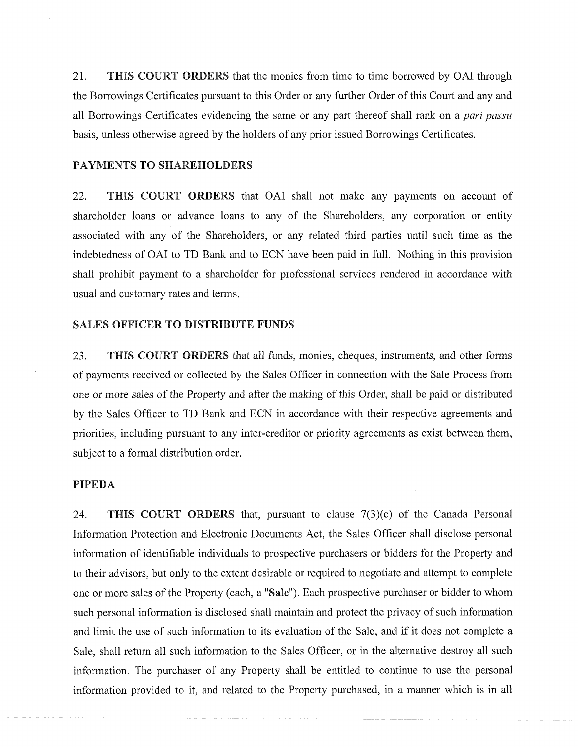21. **THIS COURT ORDERS** that the monies from time to time borrowed by OAI through the Borrowings Certificates pursuant to this Order or any further Order ofthis Court and any and all Borrowings Certificates evidencing the same or any part thereof shall rank on a *pari passu* basis, unless otherwise agreed by the holders of any prior issued Borrowings Certificates.

#### **PAYMENTS TO SHAREHOLDERS**

22. **THIS COURT ORDERS** that OAI shall not make any payments on account of shareholder loans or advance loans to any of the Shareholders, any corporation or entity associated with any of the Shareholders, or any related third parties until such time as the indebtedness of OAI to TD Bank and to ECN have been paid in full. Nothing in this provision shall prohibit payment to a shareholder for professional services rendered in accordance with usual and customary rates and terms.

#### **SALES OFFICER TO DISTRIBUTE FUNDS**

23. **THIS COURT ORDERS** that all funds, monies, cheques, instruments, and other forms of payments received or collected by the Sales Officer in connection with the Sale Process from one or more sales of the Property and after the making of this Order, shall be paid or distributed by the Sales Officer to TD Bank and ECN in accordance with their respective agreements and priorities, including pursuant to any inter-creditor or priority agreements as exist between them, subject to a formal distribution order.

# **PIPEDA**

24. **THIS COURT ORDERS** that, pursuant to clause 7(3)(c) of the Canada Personal Information Protection and Electronic Documents Act, the Sales Officer shall disclose personal information of identifiable individuals to prospective purchasers or bidders for the Property and to their advisors, but only to the extent desirable or required to negotiate and attempt to complete one or more sales of the Property (each, a "Sale"). Each prospective purchaser or bidder to whom such personal information is disclosed shall maintain and protect the privacy of such information and limit the use of such information to its evaluation of the Sale, and if it does not complete a Sale, shall return all such information to the Sales Officer, or in the alternative destroy all such information. The purchaser of any Property shall be entitled to continue to use the personal information provided to it, and related to the Property purchased, in a manner which is in all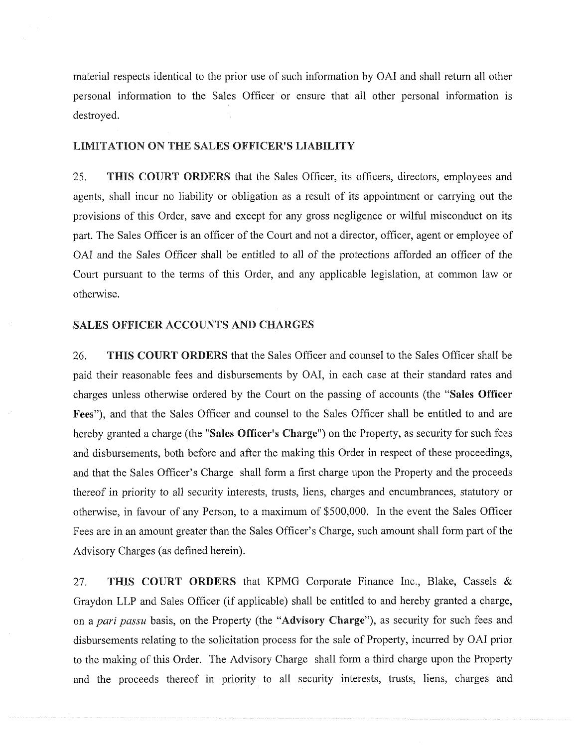material respects identical to the prior use of such information by OAI and shall return all other personal information to the Sales Officer or ensure that all other personal information is destroyed.

#### **LIMITATION ON THE** SALES **OFFICER'S LIABILITY**

25. **THIS COURT ORDERS** that the Sales Officer, its officers, directors, employees and agents, shall incur no liability or obligation as a result of its appointment or carrying out the provisions of this Order, save and except for any gross negligence or wilful misconduct on its part. The Sales Officer is an officer of the Court and not a director, officer, agent or employee of OAI and the Sales Officer shall be entitled to all of the protections afforded an officer of the Court pursuant to the terms of this Order, and any applicable legislation, at common law or otherwise.

#### **SALES OFFICER ACCOUNTS AND CHARGES**

26. **THIS COURT ORDERS** that the Sales Officer and counsel to the Sales Officer shall be paid their reasonable fees and disbursements by OAI, in each case at their standard rates and charges unless otherwise ordered by the Court on the passing of accounts (the **"Sales Officer Fees"),** and that the Sales Officer and counsel to the Sales Officer shall be entitled to and are hereby granted a charge (the **"Sales Officer's Charge")** on the Property, as security for such fees and disbursements, both before and after the making this Order in respect of these proceedings, and that the Sales Officer's Charge shall form a first charge upon the Property and the proceeds thereof in priority to all security interests, trusts, liens, charges and encumbrances, statutory or otherwise, in favour of any Person, to a maximum of \$500,000. In the event the Sales Officer Fees are in an amount greater than the Sales Officer's Charge, such amount shall form part of the Advisory Charges (as defined herein).

27. **THIS COURT ORDERS** that KPMG Corporate Finance Inc., Blake, Cassels & Graydon LLP and Sales Officer (if applicable) shall be entitled to and hereby granted a charge, on a *pari passu* basis, on the Property (the **"Advisory** Charge"), as security for such fees and disbursements relating to the solicitation process for the sale of Property, incurred by OAI prior to the making of this Order. The Advisory Charge shall form a third charge upon the Property and the proceeds thereof in priority to all security interests, trusts, liens, charges and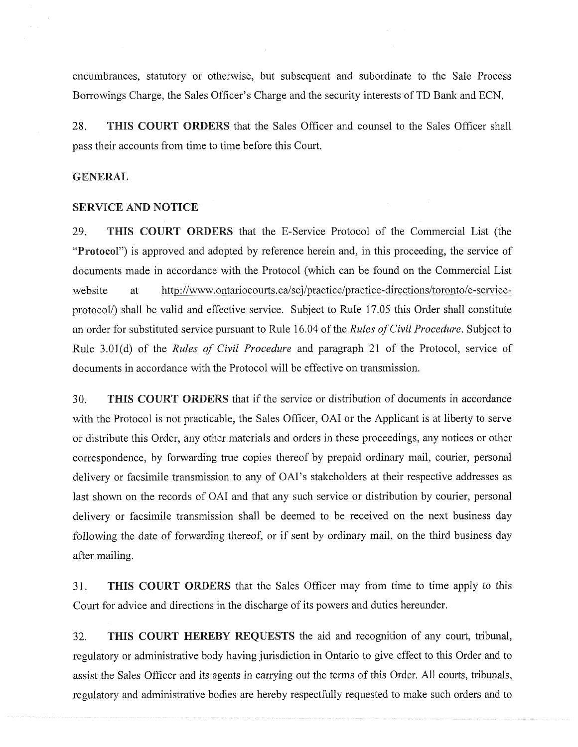encumbrances, statutory or otherwise, but subsequent and subordinate to the Sale Process Borrowings Charge, the Sales Officer's Charge and the security interests of TD Bank and ECN.

**28. THIS COURT ORDERS** that the Sales Officer and counsel to the Sales Officer shall pass their accounts from time to time before this Court.

#### **GENERAL**

#### **SERVICE AND NOTICE**

29. **THIS COURT ORDERS** that the E-Service Protocol of the Commercial List (the **"Protocol")** is approved and adopted by reference herein and, in this proceeding, the service of documents made in accordance with the Protocol (which can be found on the Commercial List website at [http://www.ontariocourts.ca/sci/practice/practice-directions/toronto/e-service](http://www.ontariocourts.ca/sci/practice/practice-directions/toronto/e-service-protocol/)[protocol/\)](http://www.ontariocourts.ca/sci/practice/practice-directions/toronto/e-service-protocol/) shall be valid and effective service. Subject to Rule 17.05 this Order shall constitute an order for substituted service pursuant to Rule 16.04 of the *Rules of Civil Procedure*. Subject to Rule 3.01(d) of the *Rules of Civil Procedure* and paragraph 21 of the Protocol, service of documents in accordance with the Protocol will be effective on transmission.

30. **THIS COURT ORDERS** that if the service or distribution of documents in accordance with the Protocol is not practicable, the Sales Officer, OAI or the Applicant is at liberty to serve or distribute this Order, any other materials and orders in these proceedings, any notices or other correspondence, by forwarding true copies thereof by prepaid ordinary mail, courier, personal delivery or facsimile transmission to any of OAI's stakeholders at their respective addresses as last shown on the records of OAI and that any such service or distribution by courier, personal delivery or facsimile transmission shall be deemed to be received on the next business day following the date of forwarding thereof, or if sent by ordinary mail, on the third business day after mailing.

31**. THIS COURT ORDERS** that the Sales Officer may from time to time apply to this Court for advice and directions in the discharge of its powers and duties hereunder.

**32. THIS COURT HEREBY REQUESTS** the aid and recognition of any court, tribunal, regulatory or administrative body having jurisdiction in Ontario to give effect to this Order and to assist the Sales Officer and its agents in carrying out the terms of this Order. All courts, tribunals, regulatory and administrative bodies are hereby respectfully requested to make such orders and to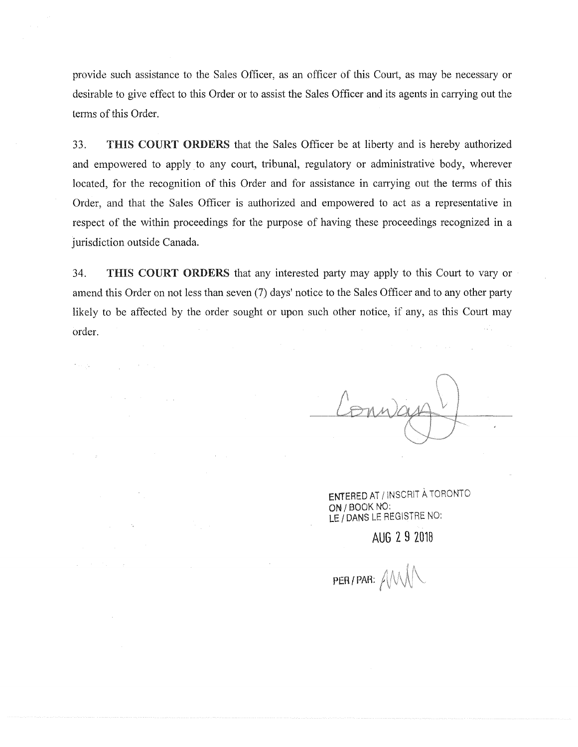provide such assistance to the Sales Officer, as an officer of this Court, as may be necessary or desirable to give effect to this Order or to assist the Sales Officer and its agents in carrying out the terms of this Order.

33. **THIS COURT ORDERS** that the Sales Officer be at liberty and is hereby authorized and empowered to apply to any court, tribunal, regulatory or administrative body, wherever located, for the recognition of this Order and for assistance in carrying out the terms of this Order, and that the Sales Officer is authorized and empowered to act as a representative in respect of the within proceedings for the purpose of having these proceedings recognized in a jurisdiction outside Canada.

34. **THIS COURT ORDERS** that any interested party may apply to this Court to vary or amend this Order on not less than seven (7) days' notice to the Sales Officer and to any other party likely to be affected by the order sought or upon such other notice, if any, as this Court may order.

 $\sim 100$ 

ENTERED AT / INSCRIT A TORONTO ON/BOOK NO: LE / DANS LE REGISTRE NO:

**AUG 2 9 2018**

PER/PAR: AM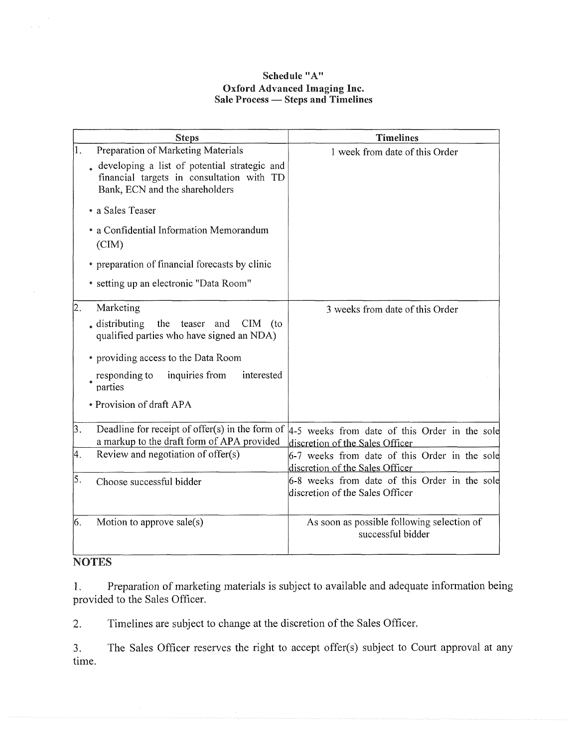# **Schedule "A" Oxford Advanced Imaging Inc. Sale Process — Steps and Timelines**

|    | <b>Steps</b>                                                                                                                                                      | <b>Timelines</b>                                                                                                                     |
|----|-------------------------------------------------------------------------------------------------------------------------------------------------------------------|--------------------------------------------------------------------------------------------------------------------------------------|
| 1. | Preparation of Marketing Materials<br>developing a list of potential strategic and<br>financial targets in consultation with TD<br>Bank, ECN and the shareholders | 1 week from date of this Order                                                                                                       |
|    | • a Sales Teaser                                                                                                                                                  |                                                                                                                                      |
|    | • a Confidential Information Memorandum<br>(CIM)                                                                                                                  |                                                                                                                                      |
|    | • preparation of financial forecasts by clinic                                                                                                                    |                                                                                                                                      |
|    | • setting up an electronic "Data Room"                                                                                                                            |                                                                                                                                      |
| 2. | Marketing                                                                                                                                                         | 3 weeks from date of this Order                                                                                                      |
|    | the<br>$\epsilon$ distributing<br>teaser and<br><b>CIM</b><br>(to<br>qualified parties who have signed an NDA)                                                    |                                                                                                                                      |
|    | • providing access to the Data Room                                                                                                                               |                                                                                                                                      |
|    | inquiries from<br>responding to<br>interested<br>parties                                                                                                          |                                                                                                                                      |
|    | • Provision of draft APA                                                                                                                                          |                                                                                                                                      |
| 3. | a markup to the draft form of APA provided                                                                                                                        | Deadline for receipt of offer(s) in the form of $ 4-5 $ weeks from date of this Order in the sole<br>discretion of the Sales Officer |
| 4. | Review and negotiation of offer(s)                                                                                                                                | 6-7 weeks from date of this Order in the sole<br>discretion of the Sales Officer                                                     |
| 5. | Choose successful bidder                                                                                                                                          | 6-8 weeks from date of this Order in the sole<br>discretion of the Sales Officer                                                     |
| 6. | Motion to approve sale(s)                                                                                                                                         | As soon as possible following selection of<br>successful bidder                                                                      |

# **NOTES**

1. Preparation of marketing materials is subject to available and adequate information being provided to the Sales Officer.

2. Timelines are subject to change at the discretion of the Sales Officer.

3. The Sales Officer reserves the right to accept offer(s) subject to Court approval at any time.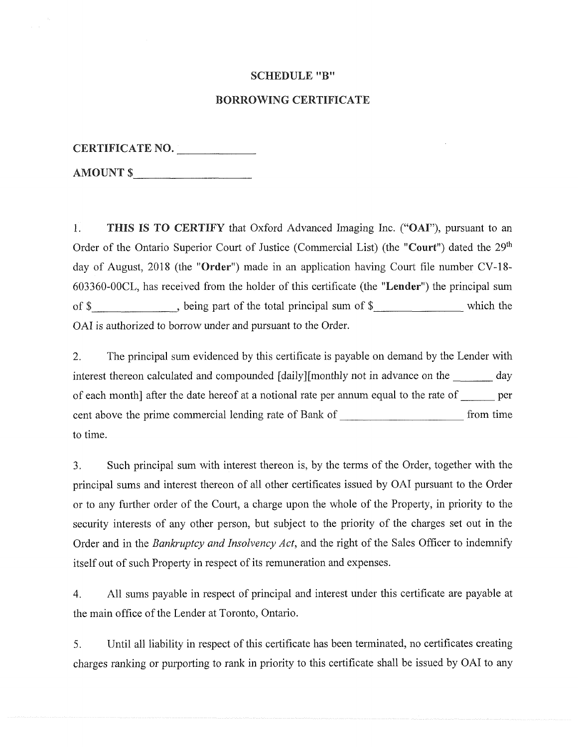#### **SCHEDULE"B"**

#### **BORROWING CERTIFICATE**

| <b>CERTIFICATE NO.</b> |  |
|------------------------|--|
|                        |  |

**AMOUNT \$\_\_\_\_\_\_\_\_\_\_\_\_\_\_\_\_\_\_\_\_\_\_**

1. **THIS IS TO CERTIFY** that Oxford Advanced Imaging Inc. ("OAF), pursuant to an Order of the Ontario Superior Court of Justice (Commercial List) (the **"Court")** dated the 29th day of August, 2018 (the **"Order")** made in an application having Court file number CV-18- 603360-00CL, has received from the holder of this certificate (the **"Lender")** the principal sum of \$ heing part of the total principal sum of \$ which the OAI is authorized to borrow under and pursuant to the Order.

2. The principal sum evidenced by this certificate is payable on demand by the Lender with interest thereon calculated and compounded [daily][monthly not in advance on the \_\_\_\_\_\_ day of each month] after the date hereof at a notional rate per annum equal to the rate of\_\_\_\_\_\_per cent above the prime commercial lending rate of Bank of \_\_\_\_\_\_\_\_\_\_\_\_\_\_\_\_ from time to time.

3. Such principal sum with interest thereon is, by the terms of the Order, together with the principal sums and interest thereon of all other certificates issued by OAI pursuant to the Order or to any further order of the Court, a charge upon the whole of the Property, in priority to the security interests of any other person, but subject to the priority of the charges set out in the Order and in the *Bankruptcy and Insolvency Act,* and the right of the Sales Officer to indemnify itself out of such Property in respect of its remuneration and expenses.

4. All sums payable in respect of principal and interest under this certificate are payable at the main office of the Lender at Toronto, Ontario.

5. Until all liability in respect of this certificate has been terminated, no certificates creating charges ranking or purporting to rank in priority to this certificate shall be issued by OAI to any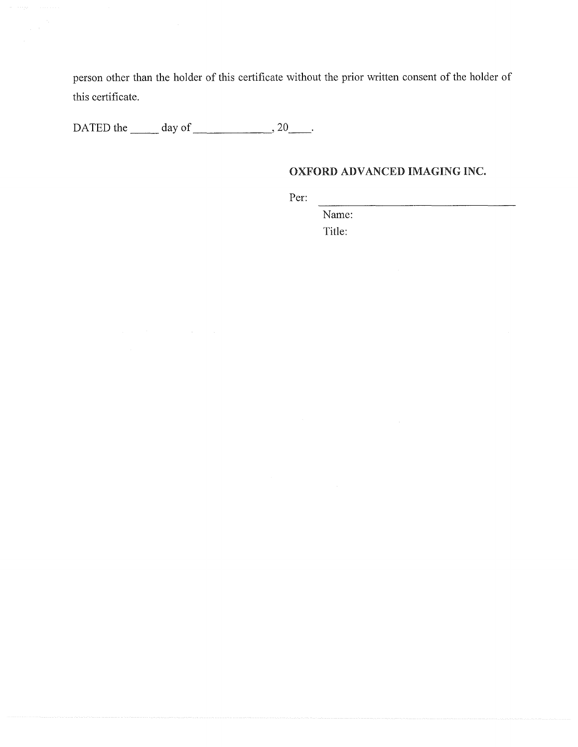person other than the holder of this certificate without the prior written consent of the holder of this certificate.

DATED the  $\_\_\_\$  day of  $\_\_\_\_\_\$ 

# **OXFORD ADVANCED IMAGING INC.**

Per:

Name: Title: